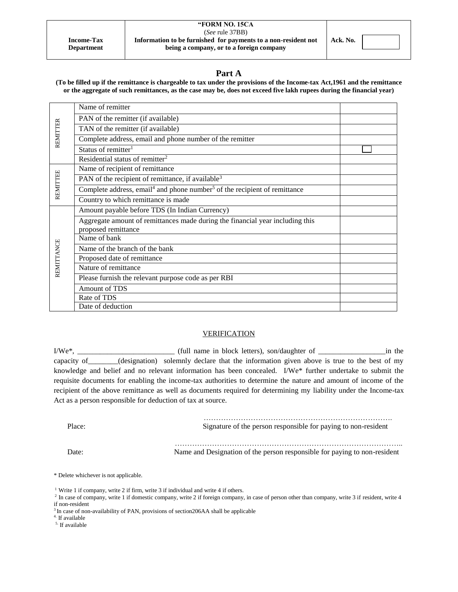| <b>Income-Tax</b> |  |
|-------------------|--|
| <b>Department</b> |  |

#### **"FORM NO. 15CA**  (*See* rule 37BB) **Information to be furnished for payments to a non-resident not being a company, or to a foreign company**

# **Part A**

**(To be filled up if the remittance is chargeable to tax under the provisions of the Income-tax Act,1961 and the remittance or the aggregate of such remittances, as the case may be, does not exceed five lakh rupees during the financial year)**

|            | Name of remitter                                                                                  |  |
|------------|---------------------------------------------------------------------------------------------------|--|
| REMITTER   | PAN of the remitter (if available)                                                                |  |
|            | TAN of the remitter (if available)                                                                |  |
|            | Complete address, email and phone number of the remitter                                          |  |
|            | Status of remitter <sup>1</sup>                                                                   |  |
|            | Residential status of remitter <sup>2</sup>                                                       |  |
|            | Name of recipient of remittance                                                                   |  |
|            | PAN of the recipient of remittance, if available <sup>3</sup>                                     |  |
| REMITTEE   | Complete address, email <sup>4</sup> and phone number <sup>5</sup> of the recipient of remittance |  |
|            | Country to which remittance is made                                                               |  |
|            | Amount payable before TDS (In Indian Currency)                                                    |  |
|            | Aggregate amount of remittances made during the financial year including this                     |  |
|            | proposed remittance                                                                               |  |
|            | Name of bank                                                                                      |  |
|            | Name of the branch of the bank                                                                    |  |
|            | Proposed date of remittance                                                                       |  |
| REMITTANCE | Nature of remittance                                                                              |  |
|            | Please furnish the relevant purpose code as per RBI                                               |  |
|            | Amount of TDS                                                                                     |  |
|            | Rate of TDS                                                                                       |  |
|            | Date of deduction                                                                                 |  |

# **VERIFICATION**

I/We\*, \_\_\_\_\_\_\_\_\_\_\_\_\_\_\_\_\_\_\_\_\_\_\_\_\_\_ (full name in block letters), son/daughter of \_\_\_\_\_\_\_\_\_\_\_\_\_\_\_\_\_\_in the capacity of (designation) solemnly declare that the information given above is true to the best of my knowledge and belief and no relevant information has been concealed. I/We\* further undertake to submit the requisite documents for enabling the income-tax authorities to determine the nature and amount of income of the recipient of the above remittance as well as documents required for determining my liability under the Income-tax Act as a person responsible for deduction of tax at source.

| Place: | Signature of the person responsible for paying to non-resident            |
|--------|---------------------------------------------------------------------------|
| Date:  | Name and Designation of the person responsible for paying to non-resident |

\* Delete whichever is not applicable.

<sup>1</sup> Write 1 if company, write 2 if firm, write 3 if individual and write 4 if others.

<sup>2</sup> In case of company, write 1 if domestic company, write 2 if foreign company, in case of person other than company, write 3 if resident, write 4 if non-resident

<sup>3</sup> In case of non-availability of PAN, provisions of section 206AA shall be applicable

4. If available

5. If available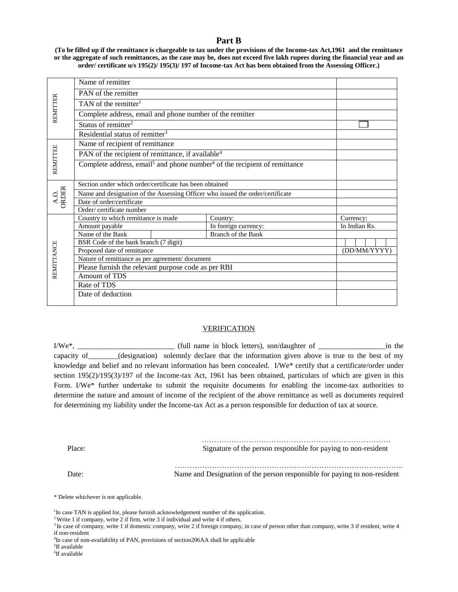# **Part B**

**(To be filled up if the remittance is chargeable to tax under the provisions of the Income-tax Act,1961 and the remittance or the aggregate of such remittances, as the case may be, does not exceed five lakh rupees during the financial year and an order/ certificate u/s 195(2)/ 195(3)/ 197 of Income-tax Act has been obtained from the Assessing Officer.)**

|                                    | Name of remitter                                                                                  |                             |                      |               |  |  |
|------------------------------------|---------------------------------------------------------------------------------------------------|-----------------------------|----------------------|---------------|--|--|
|                                    | PAN of the remitter                                                                               |                             |                      |               |  |  |
|                                    | TAN of the remitter <sup>1</sup>                                                                  |                             |                      |               |  |  |
| REMITTER                           | Complete address, email and phone number of the remitter                                          |                             |                      |               |  |  |
|                                    | Status of remitter <sup>2</sup>                                                                   |                             |                      |               |  |  |
|                                    | Residential status of remitter <sup>3</sup>                                                       |                             |                      |               |  |  |
|                                    | Name of recipient of remittance                                                                   |                             |                      |               |  |  |
|                                    | PAN of the recipient of remittance, if available <sup>4</sup>                                     |                             |                      |               |  |  |
| <b>REMITTEE</b>                    | Complete address, email <sup>5</sup> and phone number <sup>6</sup> of the recipient of remittance |                             |                      |               |  |  |
|                                    |                                                                                                   |                             |                      |               |  |  |
|                                    | Section under which order/certificate has been obtained                                           |                             |                      |               |  |  |
| $\frac{\text{A.O.}}{\text{ORDER}}$ | Name and designation of the Assessing Officer who issued the order/certificate                    |                             |                      |               |  |  |
|                                    | Date of order/certificate                                                                         |                             |                      |               |  |  |
|                                    | Order/certificate number                                                                          |                             |                      |               |  |  |
|                                    | Country to which remittance is made                                                               |                             | Country:             | Currency:     |  |  |
|                                    | Amount payable                                                                                    |                             | In foreign currency: | In Indian Rs. |  |  |
|                                    | Name of the Bank                                                                                  |                             | Branch of the Bank   |               |  |  |
|                                    | BSR Code of the bank branch (7 digit)                                                             |                             |                      |               |  |  |
|                                    |                                                                                                   | Proposed date of remittance |                      |               |  |  |
|                                    | Nature of remittance as per agreement/ document                                                   |                             |                      |               |  |  |
| REMITTANCE                         | Please furnish the relevant purpose code as per RBI                                               |                             |                      |               |  |  |
|                                    | Amount of TDS                                                                                     |                             |                      |               |  |  |
|                                    | Rate of TDS                                                                                       |                             |                      |               |  |  |
|                                    | Date of deduction                                                                                 |                             |                      |               |  |  |
|                                    |                                                                                                   |                             |                      |               |  |  |

## **VERIFICATION**

I/We\*, \_\_\_\_\_\_\_\_\_\_\_\_\_\_\_\_\_\_\_\_\_\_\_\_\_\_ (full name in block letters), son/daughter of \_\_\_\_\_\_\_\_\_\_\_\_\_\_\_\_\_\_in the capacity of\_\_\_\_\_\_\_\_(designation) solemnly declare that the information given above is true to the best of my knowledge and belief and no relevant information has been concealed. I/We\* certify that a certificate/order under section 195(2)/195(3)/197 of the Income-tax Act, 1961 has been obtained, particulars of which are given in this Form. I/We\* further undertake to submit the requisite documents for enabling the income-tax authorities to determine the nature and amount of income of the recipient of the above remittance as well as documents required for determining my liability under the Income-tax Act as a person responsible for deduction of tax at source.

 …………………………………………………………………. Place: Signature of the person responsible for paying to non-resident

 ……………………………………………………………………………….. Date: Name and Designation of the person responsible for paying to non-resident

\* Delete whichever is not applicable.

<sup>1</sup>In case TAN is applied for, please furnish acknowledgement number of the application.

<sup>2</sup> Write 1 if company, write 2 if firm, write 3 if individual and write 4 if others.

<sup>&</sup>lt;sup>3</sup> In case of company, write 1 if domestic company, write 2 if foreign company, in case of person other than company, write 3 if resident, write 4 if non-resident

<sup>&</sup>lt;sup>4</sup>In case of non-availability of PAN, provisions of section 206AA shall be applicable

<sup>5</sup> If available

<sup>6</sup> If available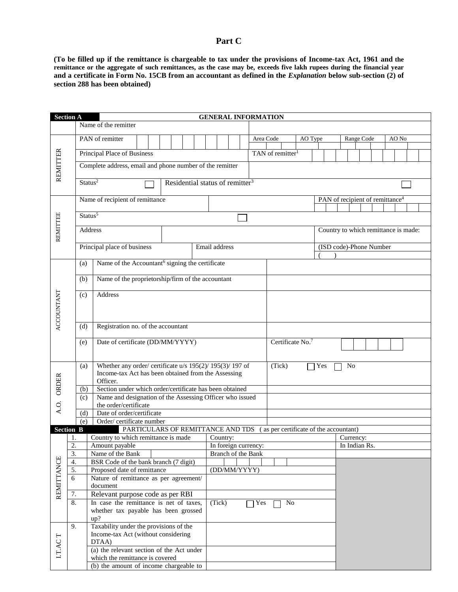# **Part C**

**(To be filled up if the remittance is chargeable to tax under the provisions of Income-tax Act, 1961 and the remittance or the aggregate of such remittances, as the case may be, exceeds five lakh rupees during the financial year** and a certificate in Form No. 15CB from an accountant as defined in the *Explanation* below sub-section (2) of **section 288 has been obtained)**

|                   | <b>Section A</b><br><b>GENERAL INFORMATION</b> |                                                                 |                                                                       |                                                         |  |                                                                          |  |  |               |  |                    |  |                      |           |    |         |              |                                             |           |               |  |       |  |
|-------------------|------------------------------------------------|-----------------------------------------------------------------|-----------------------------------------------------------------------|---------------------------------------------------------|--|--------------------------------------------------------------------------|--|--|---------------|--|--------------------|--|----------------------|-----------|----|---------|--------------|---------------------------------------------|-----------|---------------|--|-------|--|
|                   |                                                |                                                                 | Name of the remitter                                                  |                                                         |  |                                                                          |  |  |               |  |                    |  |                      |           |    |         |              |                                             |           |               |  |       |  |
|                   |                                                |                                                                 |                                                                       |                                                         |  |                                                                          |  |  |               |  |                    |  |                      |           |    |         |              |                                             |           |               |  |       |  |
|                   |                                                |                                                                 | PAN of remitter                                                       |                                                         |  |                                                                          |  |  |               |  |                    |  |                      | Area Code |    | AO Type |              |                                             |           | Range Code    |  | AO No |  |
|                   |                                                |                                                                 |                                                                       |                                                         |  |                                                                          |  |  |               |  |                    |  |                      |           |    |         |              |                                             |           |               |  |       |  |
|                   |                                                | Principal Place of Business<br>TAN of remitter <sup>1</sup>     |                                                                       |                                                         |  |                                                                          |  |  |               |  |                    |  |                      |           |    |         |              |                                             |           |               |  |       |  |
| <b>REMITTER</b>   |                                                |                                                                 | Complete address, email and phone number of the remitter              |                                                         |  |                                                                          |  |  |               |  |                    |  |                      |           |    |         |              |                                             |           |               |  |       |  |
|                   |                                                |                                                                 |                                                                       |                                                         |  |                                                                          |  |  |               |  |                    |  |                      |           |    |         |              |                                             |           |               |  |       |  |
|                   |                                                | Status <sup>2</sup>                                             |                                                                       |                                                         |  | Residential status of remitter <sup>3</sup>                              |  |  |               |  |                    |  |                      |           |    |         |              |                                             |           |               |  |       |  |
|                   |                                                |                                                                 |                                                                       |                                                         |  |                                                                          |  |  |               |  |                    |  |                      |           |    |         |              |                                             |           |               |  |       |  |
|                   |                                                |                                                                 | Name of recipient of remittance                                       |                                                         |  |                                                                          |  |  |               |  |                    |  |                      |           |    |         |              | PAN of recipient of remittance <sup>4</sup> |           |               |  |       |  |
|                   |                                                |                                                                 |                                                                       |                                                         |  |                                                                          |  |  |               |  |                    |  |                      |           |    |         |              |                                             |           |               |  |       |  |
|                   |                                                | Status <sup>5</sup>                                             |                                                                       |                                                         |  |                                                                          |  |  |               |  |                    |  |                      |           |    |         |              |                                             |           |               |  |       |  |
| REMITTEE          |                                                |                                                                 | Address                                                               |                                                         |  |                                                                          |  |  |               |  |                    |  |                      |           |    |         |              | Country to which remittance is made:        |           |               |  |       |  |
|                   |                                                |                                                                 |                                                                       |                                                         |  |                                                                          |  |  |               |  |                    |  |                      |           |    |         |              |                                             |           |               |  |       |  |
|                   |                                                |                                                                 | Principal place of business                                           |                                                         |  |                                                                          |  |  | Email address |  |                    |  |                      |           |    |         |              | (ISD code)-Phone Number                     |           |               |  |       |  |
|                   |                                                |                                                                 |                                                                       |                                                         |  |                                                                          |  |  |               |  |                    |  |                      |           |    |         |              |                                             |           |               |  |       |  |
|                   |                                                | (a)                                                             | Name of the Accountant <sup>6</sup> signing the certificate           |                                                         |  |                                                                          |  |  |               |  |                    |  |                      |           |    |         |              |                                             |           |               |  |       |  |
|                   |                                                |                                                                 |                                                                       |                                                         |  |                                                                          |  |  |               |  |                    |  |                      |           |    |         |              |                                             |           |               |  |       |  |
|                   |                                                | (b)                                                             | Name of the proprietorship/firm of the accountant                     |                                                         |  |                                                                          |  |  |               |  |                    |  |                      |           |    |         |              |                                             |           |               |  |       |  |
|                   |                                                |                                                                 |                                                                       |                                                         |  |                                                                          |  |  |               |  |                    |  |                      |           |    |         |              |                                             |           |               |  |       |  |
|                   |                                                | (c)                                                             | Address                                                               |                                                         |  |                                                                          |  |  |               |  |                    |  |                      |           |    |         |              |                                             |           |               |  |       |  |
|                   |                                                |                                                                 |                                                                       |                                                         |  |                                                                          |  |  |               |  |                    |  |                      |           |    |         |              |                                             |           |               |  |       |  |
|                   |                                                |                                                                 |                                                                       |                                                         |  |                                                                          |  |  |               |  |                    |  |                      |           |    |         |              |                                             |           |               |  |       |  |
| <b>ACCOUNTANT</b> |                                                | (d)                                                             | Registration no. of the accountant                                    |                                                         |  |                                                                          |  |  |               |  |                    |  |                      |           |    |         |              |                                             |           |               |  |       |  |
|                   |                                                |                                                                 |                                                                       |                                                         |  |                                                                          |  |  |               |  |                    |  |                      |           |    |         |              |                                             |           |               |  |       |  |
|                   |                                                | (e)                                                             | Certificate No.7<br>Date of certificate (DD/MM/YYYY)                  |                                                         |  |                                                                          |  |  |               |  |                    |  |                      |           |    |         |              |                                             |           |               |  |       |  |
|                   |                                                |                                                                 |                                                                       |                                                         |  |                                                                          |  |  |               |  |                    |  |                      |           |    |         |              |                                             |           |               |  |       |  |
|                   |                                                |                                                                 |                                                                       |                                                         |  |                                                                          |  |  |               |  |                    |  |                      |           |    |         |              |                                             |           |               |  |       |  |
|                   |                                                | (a)                                                             | Whether any order/ certificate u/s 195(2)/ 195(3)/ 197 of             |                                                         |  |                                                                          |  |  |               |  |                    |  |                      | (Tick)    |    |         | $\Gamma$ Yes |                                             | No        |               |  |       |  |
|                   |                                                | Income-tax Act has been obtained from the Assessing<br>Officer. |                                                                       |                                                         |  |                                                                          |  |  |               |  |                    |  |                      |           |    |         |              |                                             |           |               |  |       |  |
| ORDER             |                                                | (b)                                                             |                                                                       | Section under which order/certificate has been obtained |  |                                                                          |  |  |               |  |                    |  |                      |           |    |         |              |                                             |           |               |  |       |  |
|                   |                                                | (c)                                                             | Name and designation of the Assessing Officer who issued              |                                                         |  |                                                                          |  |  |               |  |                    |  |                      |           |    |         |              |                                             |           |               |  |       |  |
| A.O.              |                                                |                                                                 | the order/certificate                                                 |                                                         |  |                                                                          |  |  |               |  |                    |  |                      |           |    |         |              |                                             |           |               |  |       |  |
|                   |                                                | (d)                                                             | Date of order/certificate                                             |                                                         |  |                                                                          |  |  |               |  |                    |  |                      |           |    |         |              |                                             |           |               |  |       |  |
|                   |                                                | (e)                                                             | Order/certificate number                                              |                                                         |  |                                                                          |  |  |               |  |                    |  |                      |           |    |         |              |                                             |           |               |  |       |  |
| <b>Section B</b>  |                                                |                                                                 |                                                                       |                                                         |  | PARTICULARS OF REMITTANCE AND TDS (as per certificate of the accountant) |  |  |               |  |                    |  |                      |           |    |         |              |                                             |           |               |  |       |  |
|                   | 1.                                             |                                                                 | Country to which remittance is made                                   |                                                         |  |                                                                          |  |  | Country:      |  |                    |  |                      |           |    |         |              |                                             | Currency: |               |  |       |  |
|                   | $\overline{2}$                                 |                                                                 | Amount payable                                                        |                                                         |  |                                                                          |  |  |               |  |                    |  | In foreign currency: |           |    |         |              |                                             |           | In Indian Rs. |  |       |  |
|                   | $\overline{3}$ .                               |                                                                 | Name of the Bank                                                      |                                                         |  |                                                                          |  |  |               |  | Branch of the Bank |  |                      |           |    |         |              |                                             |           |               |  |       |  |
| REMITTANCE        | 4.                                             |                                                                 | BSR Code of the bank branch (7 digit)                                 |                                                         |  |                                                                          |  |  |               |  |                    |  |                      |           |    |         |              |                                             |           |               |  |       |  |
|                   | 5.<br>6                                        |                                                                 | Proposed date of remittance<br>Nature of remittance as per agreement/ |                                                         |  |                                                                          |  |  |               |  | (DD/MM/YYYY)       |  |                      |           |    |         |              |                                             |           |               |  |       |  |
|                   |                                                |                                                                 | document                                                              |                                                         |  |                                                                          |  |  |               |  |                    |  |                      |           |    |         |              |                                             |           |               |  |       |  |
|                   | 7.                                             |                                                                 | Relevant purpose code as per RBI                                      |                                                         |  |                                                                          |  |  |               |  |                    |  |                      |           |    |         |              |                                             |           |               |  |       |  |
|                   | 8.                                             |                                                                 | In case the remittance is net of taxes,                               |                                                         |  |                                                                          |  |  | (Tick)        |  |                    |  | Yes                  |           | No |         |              |                                             |           |               |  |       |  |
|                   |                                                |                                                                 | whether tax payable has been grossed                                  |                                                         |  |                                                                          |  |  |               |  |                    |  |                      |           |    |         |              |                                             |           |               |  |       |  |
|                   |                                                |                                                                 | up?                                                                   |                                                         |  |                                                                          |  |  |               |  |                    |  |                      |           |    |         |              |                                             |           |               |  |       |  |
|                   | 9.                                             |                                                                 | Taxability under the provisions of the                                |                                                         |  |                                                                          |  |  |               |  |                    |  |                      |           |    |         |              |                                             |           |               |  |       |  |
|                   |                                                |                                                                 | Income-tax Act (without considering                                   |                                                         |  |                                                                          |  |  |               |  |                    |  |                      |           |    |         |              |                                             |           |               |  |       |  |
| I.T.ACT           |                                                |                                                                 | DTAA)                                                                 |                                                         |  |                                                                          |  |  |               |  |                    |  |                      |           |    |         |              |                                             |           |               |  |       |  |
|                   |                                                |                                                                 | (a) the relevant section of the Act under                             |                                                         |  |                                                                          |  |  |               |  |                    |  |                      |           |    |         |              |                                             |           |               |  |       |  |
|                   |                                                |                                                                 | which the remittance is covered                                       |                                                         |  |                                                                          |  |  |               |  |                    |  |                      |           |    |         |              |                                             |           |               |  |       |  |
|                   |                                                |                                                                 | (b) the amount of income chargeable to                                |                                                         |  |                                                                          |  |  |               |  |                    |  |                      |           |    |         |              |                                             |           |               |  |       |  |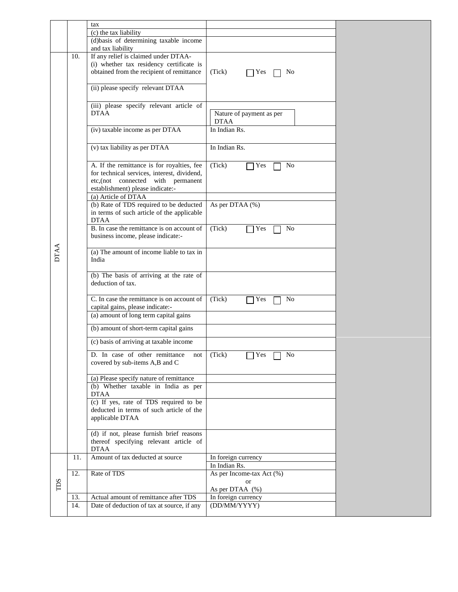|     |     | tax                                                                                                                                                                |                                         |  |
|-----|-----|--------------------------------------------------------------------------------------------------------------------------------------------------------------------|-----------------------------------------|--|
|     |     | (c) the tax liability                                                                                                                                              |                                         |  |
|     |     | (d)basis of determining taxable income<br>and tax liability                                                                                                        |                                         |  |
|     | 10. | If any relief is claimed under DTAA-<br>(i) whether tax residency certificate is<br>obtained from the recipient of remittance<br>(ii) please specify relevant DTAA | (Tick)<br>Yes<br>No                     |  |
|     |     |                                                                                                                                                                    |                                         |  |
|     |     | (iii) please specify relevant article of<br><b>DTAA</b>                                                                                                            | Nature of payment as per<br><b>DTAA</b> |  |
|     |     | (iv) taxable income as per DTAA                                                                                                                                    | In Indian Rs.                           |  |
|     |     | (v) tax liability as per DTAA                                                                                                                                      | In Indian Rs.                           |  |
|     |     | A. If the remittance is for royalties, fee<br>for technical services, interest, dividend,<br>etc,(not connected with permanent<br>establishment) please indicate:- | (Tick)<br>N <sub>o</sub><br>Yes         |  |
|     |     | (a) Article of DTAA                                                                                                                                                |                                         |  |
|     |     | (b) Rate of TDS required to be deducted<br>in terms of such article of the applicable<br><b>DTAA</b>                                                               | As per DTAA (%)                         |  |
|     |     | B. In case the remittance is on account of<br>business income, please indicate:-                                                                                   | (Tick)<br>N <sub>o</sub><br>Yes         |  |
|     |     | (a) The amount of income liable to tax in<br>India                                                                                                                 |                                         |  |
|     |     | (b) The basis of arriving at the rate of<br>deduction of tax.                                                                                                      |                                         |  |
|     |     | C. In case the remittance is on account of<br>capital gains, please indicate:-                                                                                     | (Tick)<br>N <sub>o</sub><br>Yes         |  |
|     |     | (a) amount of long term capital gains                                                                                                                              |                                         |  |
|     |     | (b) amount of short-term capital gains                                                                                                                             |                                         |  |
|     |     | (c) basis of arriving at taxable income                                                                                                                            |                                         |  |
|     |     | D. In case of other remittance not $\vert$ (Tick)<br>covered by sub-items A,B and C                                                                                | $\Box$ Yes $\Box$ No                    |  |
|     |     | (a) Please specify nature of remittance<br>(b) Whether taxable in India as per<br><b>DTAA</b>                                                                      |                                         |  |
|     |     | (c) If yes, rate of TDS required to be<br>deducted in terms of such article of the<br>applicable DTAA                                                              |                                         |  |
|     |     | (d) if not, please furnish brief reasons<br>thereof specifying relevant article of<br><b>DTAA</b>                                                                  |                                         |  |
|     | 11. | Amount of tax deducted at source                                                                                                                                   | In foreign currency<br>In Indian Rs.    |  |
|     | 12. | Rate of TDS                                                                                                                                                        | As per Income-tax Act (%)               |  |
| TDS |     |                                                                                                                                                                    | or                                      |  |
|     | 13. | Actual amount of remittance after TDS                                                                                                                              | As per DTAA (%)<br>In foreign currency  |  |
|     | 14. | Date of deduction of tax at source, if any                                                                                                                         | (DD/MM/YYYY)                            |  |
|     |     |                                                                                                                                                                    |                                         |  |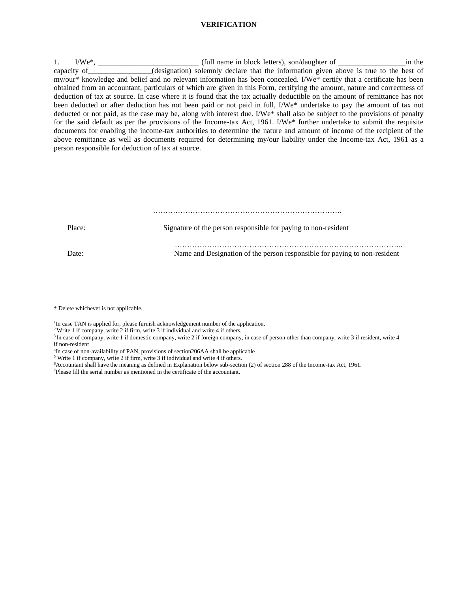# **VERIFICATION**

1. I/We<sup>\*</sup>, \_\_\_\_\_\_\_\_\_\_\_\_\_\_\_\_\_\_\_\_\_\_\_\_\_\_\_\_\_\_\_ (full name in block letters), son/daughter of \_\_\_\_\_\_\_\_\_\_\_\_\_\_\_\_\_\_\_\_in the capacity of (designation) solemnly declare that the information given above is true to the best of my/our\* knowledge and belief and no relevant information has been concealed. I/We\* certify that a certificate has been obtained from an accountant, particulars of which are given in this Form, certifying the amount, nature and correctness of deduction of tax at source. In case where it is found that the tax actually deductible on the amount of remittance has not been deducted or after deduction has not been paid or not paid in full, I/We\* undertake to pay the amount of tax not deducted or not paid, as the case may be, along with interest due. I/We\* shall also be subject to the provisions of penalty for the said default as per the provisions of the Income-tax Act, 1961. I/We\* further undertake to submit the requisite documents for enabling the income-tax authorities to determine the nature and amount of income of the recipient of the above remittance as well as documents required for determining my/our liability under the Income-tax Act, 1961 as a person responsible for deduction of tax at source.

………………………………………………………………….

Place: Signature of the person responsible for paying to non-resident

 ……………………………………………………………………………….. Date: Name and Designation of the person responsible for paying to non-resident

\* Delete whichever is not applicable.

<sup>1</sup>In case TAN is applied for, please furnish acknowledgement number of the application.

<sup>2</sup> Write 1 if company, write  $2$  if firm, write 3 if individual and write 4 if others.

<sup>3</sup> In case of company, write 1 if domestic company, write 2 if foreign company, in case of person other than company, write 3 if resident, write 4 if non-resident

<sup>4</sup>In case of non-availability of PAN, provisions of section 206AA shall be applicable

<sup>5</sup> Write 1 if company, write 2 if firm, write 3 if individual and write 4 if others.

<sup>6</sup>Accountant shall have the meaning as defined in Explanation below sub-section (2) of section 288 of the Income-tax Act, 1961.

<sup>7</sup>Please fill the serial number as mentioned in the certificate of the accountant.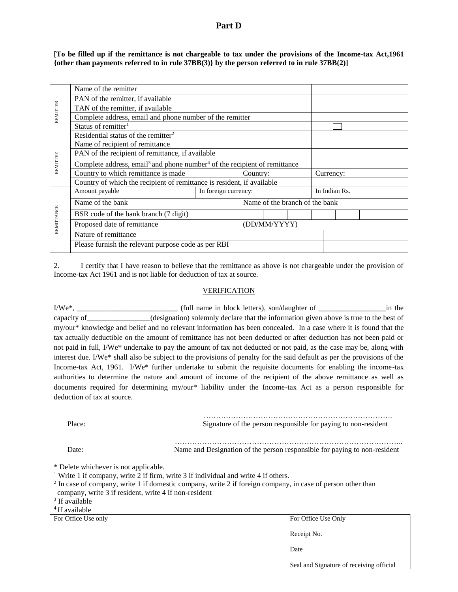# **Part D**

**[To be filled up if the remittance is not chargeable to tax under the provisions of the Income-tax Act,1961 {other than payments referred to in rule 37BB(3)} by the person referred to in rule 37BB(2)]**

|            | Name of the remitter                                                                              |                                                     |          |  |                                |               |  |  |  |  |
|------------|---------------------------------------------------------------------------------------------------|-----------------------------------------------------|----------|--|--------------------------------|---------------|--|--|--|--|
|            | PAN of the remitter, if available                                                                 |                                                     |          |  |                                |               |  |  |  |  |
| REMITTER   | TAN of the remitter, if available                                                                 |                                                     |          |  |                                |               |  |  |  |  |
|            | Complete address, email and phone number of the remitter                                          |                                                     |          |  |                                |               |  |  |  |  |
|            | Status of remitter <sup>1</sup>                                                                   |                                                     |          |  |                                |               |  |  |  |  |
|            | Residential status of the remitter <sup>2</sup>                                                   |                                                     |          |  |                                |               |  |  |  |  |
|            | Name of recipient of remittance                                                                   |                                                     |          |  |                                |               |  |  |  |  |
|            | PAN of the recipient of remittance, if available                                                  |                                                     |          |  |                                |               |  |  |  |  |
| REMITTEE   | Complete address, email <sup>3</sup> and phone number <sup>4</sup> of the recipient of remittance |                                                     |          |  |                                |               |  |  |  |  |
|            | Country to which remittance is made                                                               |                                                     | Country: |  |                                | Currency:     |  |  |  |  |
|            | Country of which the recipient of remittance is resident, if available                            |                                                     |          |  |                                |               |  |  |  |  |
|            | Amount payable<br>In foreign currency:                                                            |                                                     |          |  |                                | In Indian Rs. |  |  |  |  |
|            | Name of the bank                                                                                  |                                                     |          |  | Name of the branch of the bank |               |  |  |  |  |
|            | BSR code of the bank branch (7 digit)                                                             |                                                     |          |  |                                |               |  |  |  |  |
| REMITTANCE | Proposed date of remittance<br>(DD/MM/YYYY)                                                       |                                                     |          |  |                                |               |  |  |  |  |
|            | Nature of remittance                                                                              |                                                     |          |  |                                |               |  |  |  |  |
|            |                                                                                                   | Please furnish the relevant purpose code as per RBI |          |  |                                |               |  |  |  |  |
|            |                                                                                                   |                                                     |          |  |                                |               |  |  |  |  |

2. I certify that I have reason to believe that the remittance as above is not chargeable under the provision of Income-tax Act 1961 and is not liable for deduction of tax at source.

### VERIFICATION

I/We\*, \_\_\_\_\_\_\_\_\_\_\_\_\_\_\_\_\_\_\_\_\_\_\_\_\_\_\_ (full name in block letters), son/daughter of \_\_\_\_\_\_\_\_\_\_\_\_\_\_\_\_\_\_in the capacity of (designation) solemnly declare that the information given above is true to the best of my/our\* knowledge and belief and no relevant information has been concealed. In a case where it is found that the tax actually deductible on the amount of remittance has not been deducted or after deduction has not been paid or not paid in full, I/We\* undertake to pay the amount of tax not deducted or not paid, as the case may be, along with interest due. I/We\* shall also be subject to the provisions of penalty for the said default as per the provisions of the Income-tax Act, 1961. I/We\* further undertake to submit the requisite documents for enabling the income-tax authorities to determine the nature and amount of income of the recipient of the above remittance as well as documents required for determining my/our\* liability under the Income-tax Act as a person responsible for deduction of tax at source.

 …………………………………………………………………. Place: Signature of the person responsible for paying to non-resident

 ……………………………………………………………………………….. Date: Name and Designation of the person responsible for paying to non-resident

\* Delete whichever is not applicable.

<sup>1</sup> Write 1 if company, write 2 if firm, write 3 if individual and write 4 if others.

 $2$  In case of company, write 1 if domestic company, write 2 if foreign company, in case of person other than company, write 3 if resident, write 4 if non-resident

<sup>3</sup> If available

<sup>4</sup> If available

| For Office Use only | For Office Use Only                      |
|---------------------|------------------------------------------|
|                     | Receipt No.                              |
|                     | Date                                     |
|                     | Seal and Signature of receiving official |